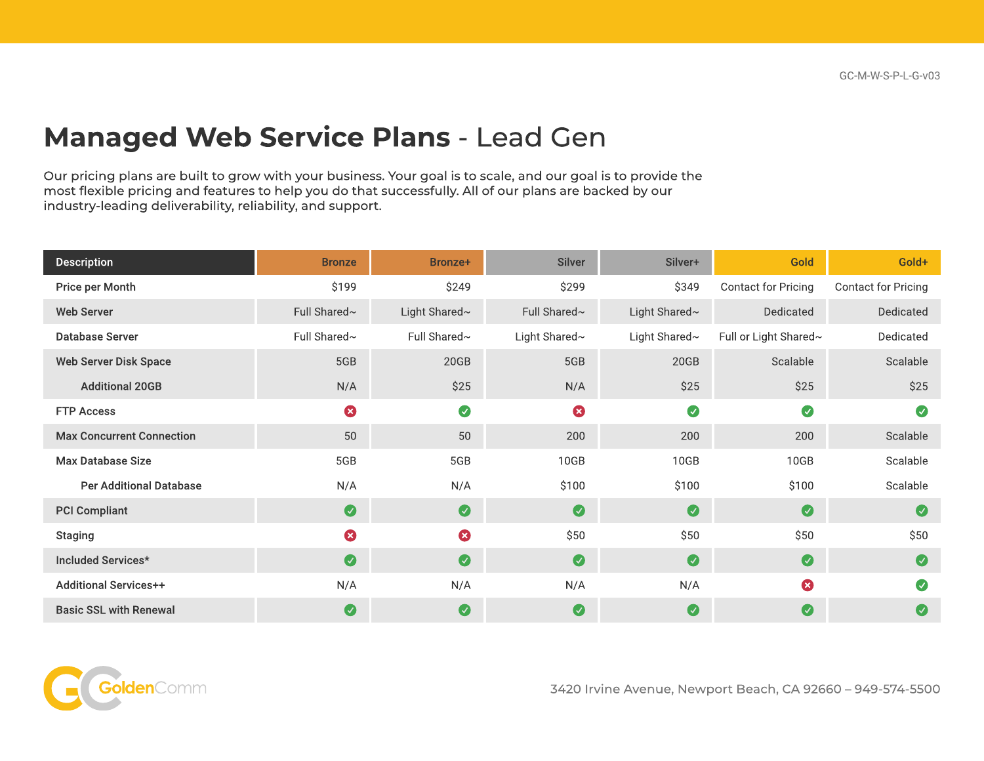## Managed Web Service Plans - Lead Gen

Our pricing plans are built to grow with your business. Your goal is to scale, and our goal is to provide the most flexible pricing and features to help you do that successfully. All of our plans are backed by our industry-leading deliverability, reliability, and support.

| <b>Description</b>               | <b>Bronze</b> | Bronze+               | <b>Silver</b> | Silver+       | Gold                  | Gold+               |
|----------------------------------|---------------|-----------------------|---------------|---------------|-----------------------|---------------------|
| Price per Month                  | \$199         | \$249                 | \$299         | \$349         | Contact for Pricing   | Contact for Pricing |
| <b>Web Server</b>                | Full Shared~  | Light Shared~         | Full Shared~  | Light Shared~ | Dedicated             | Dedicated           |
| <b>Database Server</b>           | Full Shared~  | Full Shared~          | Light Shared~ | Light Shared~ | Full or Light Shared~ | Dedicated           |
| <b>Web Server Disk Space</b>     | 5GB           | 20GB                  | 5GB           | 20GB          | Scalable              | Scalable            |
| <b>Additional 20GB</b>           | N/A           | \$25                  | N/A           | \$25          | \$25                  | \$25                |
| <b>FTP Access</b>                | 0             | $\bullet$             | Ø             | $\bullet$     | $\bullet$             | $\bullet$           |
| <b>Max Concurrent Connection</b> | 50            | 50                    | 200           | 200           | 200                   | Scalable            |
| <b>Max Database Size</b>         | 5GB           | 5GB                   | 10GB          | 10GB          | 10GB                  | Scalable            |
| <b>Per Additional Database</b>   | N/A           | N/A                   | \$100         | \$100         | \$100                 | Scalable            |
| <b>PCI Compliant</b>             | $\bullet$     | $\bullet$             | $\bullet$     | $\bullet$     | $\bullet$             | $\bullet$           |
| <b>Staging</b>                   | 0             | $\bullet$             | \$50          | \$50          | \$50                  | \$50                |
| Included Services*               | $\bullet$     | $\bullet$             | $\bullet$     | $\bullet$     | $\bullet$             | $\bullet$           |
| <b>Additional Services++</b>     | N/A           | N/A                   | N/A           | N/A           | 0                     | $\bullet$           |
| <b>Basic SSL with Renewal</b>    | Ø             | $\boldsymbol{\omega}$ | Ø             | $\bullet$     | $\bullet$             | $\bullet$           |